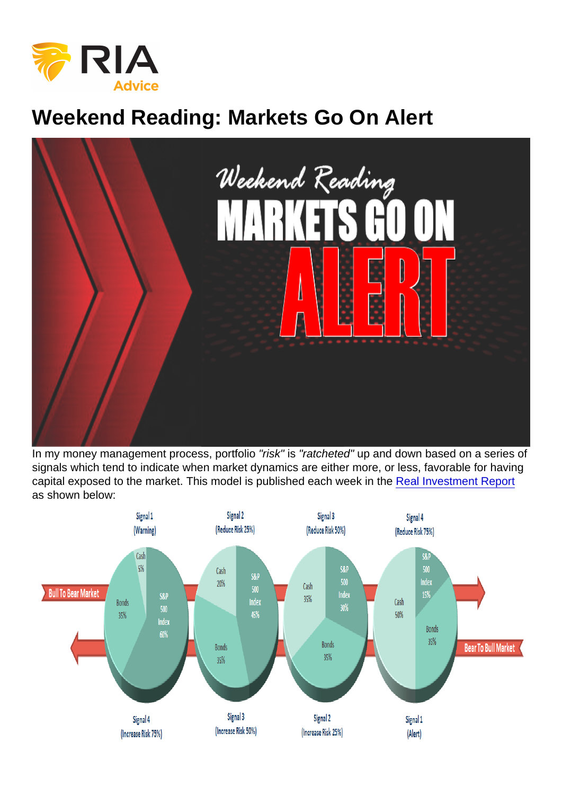# Weekend Reading: Markets Go On Alert

In my money management process, portfolio "risk" is "ratcheted" up and down based on a series of signals which tend to indicate when market dynamics are either more, or less, favorable for having capital exposed to the market. This model is published each week in the [Real Investment Report](https://realinvestmentadvice.com/subscribe-newsletter/) as shown below: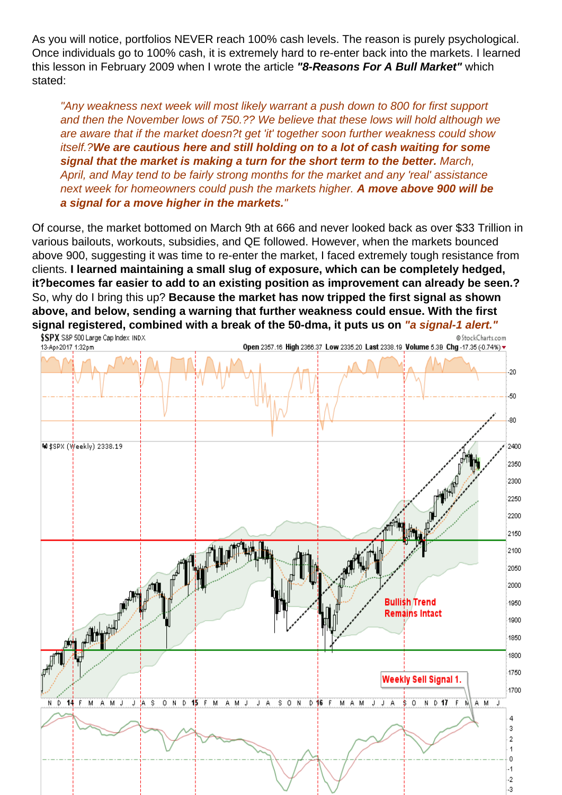As you will notice, portfolios NEVER reach 100% cash levels. The reason is purely psychological. Once individuals go to 100% cash, it is extremely hard to re-enter back into the markets. I learned this lesson in February 2009 when I wrote the article "8-Reasons For A Bull Market" which stated:

"Any weakness next week will most likely warrant a push down to 800 for first support and then the November lows of 750.?? We believe that these lows will hold although we are aware that if the market doesn?t get 'it' together soon further weakness could show itself.?We are cautious here and still holding on to a lot of cash waiting for some signal that the market is making a turn for the short term to the better. March, April, and May tend to be fairly strong months for the market and any 'real' assistance next week for homeowners could push the markets higher. A move above 900 will be a signal for a move higher in the markets.

Of course, the market bottomed on March 9th at 666 and never looked back as over \$33 Trillion in various bailouts, workouts, subsidies, and QE followed. However, when the markets bounced above 900, suggesting it was time to re-enter the market, I faced extremely tough resistance from clients. I learned maintaining a small slug of exposure, which can be completely hedged, it?becomes far easier to add to an existing position as improvement can already be seen.? So, why do I bring this up? Because the market has now tripped the first signal as shown above, and below, sending a warning that further weakness could ensue. With the first signal registered, combined with a break of the 50-dma, it puts us on ware signal-1 alert."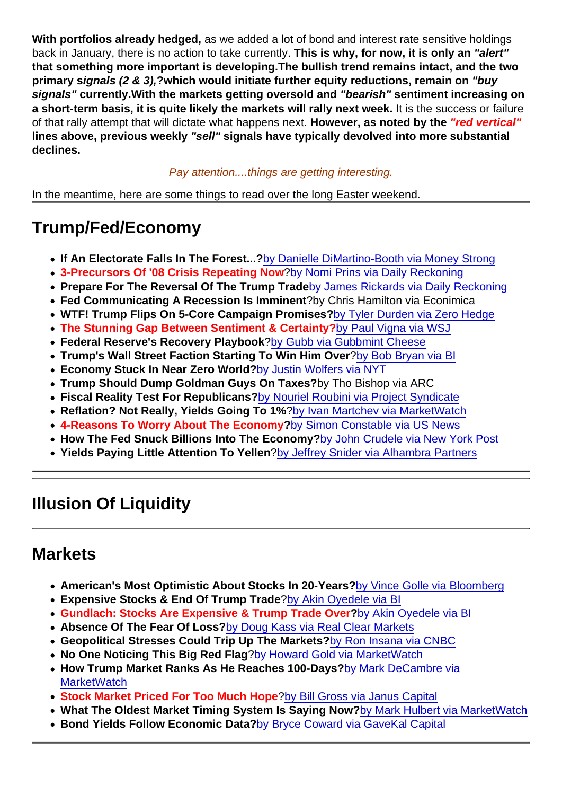With portfolios already hedged, as we added a lot of bond and interest rate sensitive holdings back in January, there is no action to take currently. This is why, for now, it is only an "alert" that something more important is developing. The bullish trend remains intact, and the two primary s ignals (2 & 3), ?which would initiate further equity reductions, remain on "buy signals" currently. With the markets getting oversold and "bearish" sentiment increasing on a short-term basis, it is quite likely the markets will rally next week. It is the success or failure of that rally attempt that will dictate what happens next. However, as noted by the "red vertical" lines above, previous weekly "sell" signals have typically devolved into more substantial declines.

#### Pay attention....things are getting interesting.

In the meantime, here are some things to read over the long Easter weekend.

## Trump/Fed/Economy

- If An Electorate Falls In The Forest... ?[by Danielle DiMartino-Booth via Money Strong](http://dimartinobooth.com/electorate-falls-forest-voice-heard/)
- 3-Precursors Of '08 Crisis Repeating Now ?[by Nomi Prins via Daily Reckoning](https://dailyreckoning.com/political-noise-cant-drown-out-russias-potential/)
- Prepare For The Reversal Of The Trump Trade [by James Rickards via Daily Reckoning](https://dailyreckoning.com/prepare-for-trump-trade-reversal/)
- Fed Communicating A Recession Is Imminent ?by Chris Hamilton via Econimica
- WTF! Trump Flips On 5-Core Campaign Promises? [by Tyler Durden via Zero Hedge](http://www.zerohedge.com/news/2017-04-12/trump-flips-five-core-key-campaign-promises-under-24-hours)
- The Stunning Gap Between Sentiment & Certainty? [by Paul Vigna via WSJ](https://blogs.wsj.com/moneybeat/2017/03/28/the-gap-between-sentiment-and-certainty-is-stunning/)
- Federal Reserve's Recovery Playbook ?[by Gubb via Gubbmint Cheese](http://gubbmintcheese.blogspot.ca/2017/04/the-federal-reserves-recovery-playbook.html)
- Trump's Wall Street Faction Starting To Win Him Over ?[by Bob Bryan via BI](http://www.businessinsider.com/wall-street-gary-cohn-trump-steve-bannon-2017-4)
- Economy Stuck In Near Zero World? [by Justin Wolfers via NYT](https://www.nytimes.com/2017/04/07/upshot/the-economy-may-be-stuck-in-a-near-zero-world.html?_r=0)
- Trump Should Dump Goldman Guys On Taxes? by Tho Bishop via ARC
- Fiscal Reality Test For Republicans? [by Nouriel Roubini via Project Syndicate](https://www.project-syndicate.org/commentary/trump-republicans-tax-reform-failure-by-nouriel-roubini-2017-04)
- Reflation? Not Really, Yields Going To 1% [?by Ivan Martchev via MarketWatch](http://www.marketwatch.com/story/what-trump-reflation-trade-why-10-year-treasury-yields-still-could-drop-to-1-by-2021-2017-04-08)
- 4-Reasons To Worry About The Economy ?[by Simon Constable via US News](http://money.usnews.com/investing/articles/2017-04-11/4-reasons-to-be-worried-about-the-economy?ct=t(Selected_recent_stories4_10_2017)&mc_cid=4b272ead6d&mc_eid=b402bc5e35)
- How The Fed Snuck Billions Into The Economy? [by John Crudele via New York Post](http://nypost.com/2017/04/11/how-the-fed-snuck-billions-of-dollars-into-the-economy/)
- Yields Paying Little Attention To Yellen [?by Jeffrey Snider via Alhambra Partners](http://www.alhambrapartners.com/2017/04/07/who-carries-the-burden-of-proof/)

### Illusion Of Liquidity

#### **Markets**

- American's Most Optimistic About Stocks In 20-Years? [by Vince Golle via Bloomberg](https://www.bloomberg.com/news/articles/2017-03-28/american-household-optimism-about-stocks-at-17-year-high-chart)
- Expensive Stocks & End Of Trump Trade [?by Akin Oyedele via BI](http://www.businessinsider.com/jeff-gundlach-webcast-slides-asset-allocation-april-2017-4)
- Gundlach: Stocks Are Expensive & Trump Trade Over ?[by Akin Oyedele via BI](http://www.businessinsider.com/jeff-gundlach-webcast-slides-asset-allocation-april-2017-4/#-1)
- Absence Of The Fear Of Loss? [by Doug Kass via Real Clear Markets](http://www.realclearmarkets.com/articles/2017/04/11/what_scares_me_is_the_absence_of_the_fear_of_loss_102629.html)
- Geopolitical Stresses Could Trip Up The Markets ?[by Ron Insana via CNBC](http://www.cnbc.com/2017/04/11/syria-strike-n-korea-could-push-wall-street-into-bear-market.html)
- No One Noticing This Big Red Flag [?by Howard Gold via MarketWatch](http://www.marketwatch.com/story/no-one-is-noticing-this-big-red-flag-for-the-stock-market-2017-04-12?mod=MW_story_top_stories)
- How Trump Market Ranks As He Reaches 100-Days ?[by Mark DeCambre via](http://www.marketwatch.com/story/how-the-trump-stock-market-ranks-as-he-approaches-his-100th-day-in-office-2017-04-12) **[MarketWatch](http://www.marketwatch.com/story/how-the-trump-stock-market-ranks-as-he-approaches-his-100th-day-in-office-2017-04-12)**
- Stock Market Priced For Too Much Hope [?by Bill Gross via Janus Capital](https://www.janus.com/insights/bill-gross-investment-outlook)
- What The Oldest Market Timing System Is Saying Now? [by Mark Hulbert via MarketWatch](http://www.marketwatch.com/story/heres-what-the-oldest-market-timing-system-in-stocks-is-saying-now-2017-04-13?mod=MW_story_top_stories)
- Bond Yields Follow Economic Data? [by Bryce Coward via GaveKal Capital](http://blog.knowledgeleaderscapital.com/?p=12987)